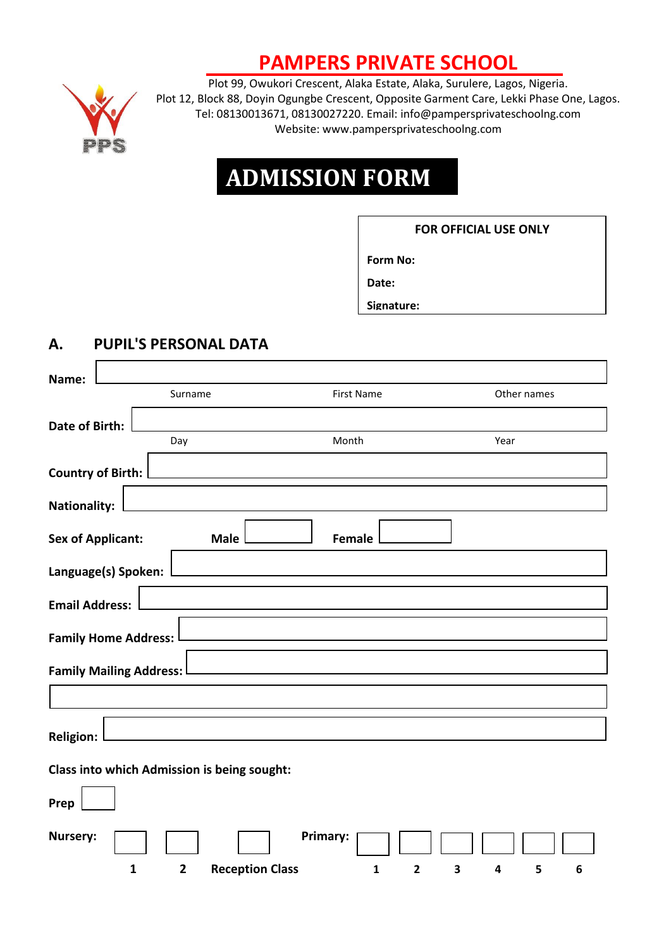## **PAMPERS PRIVATE SCHOOL**



Plot 99, Owukori Crescent, Alaka Estate, Alaka, Surulere, Lagos, Nigeria. Plot 12, Block 88, Doyin Ogungbe Crescent, Opposite Garment Care, Lekki Phase One, Lagos. Tel: 08130013671, 08130027220. Email: info@pampersprivateschoolng.com Website: [www.pampersprivateschoolng.com](http://www.pampersprivateschoolng.com/)

# **ADMISSION FORM**

#### **FOR OFFICIAL USE ONLY**

**Form No:** 

**Date:** 

**Signature:** 

### **A. PUPIL'S PERSONAL DATA**

| Name:                    |                                             |                        |                   |                     |             |
|--------------------------|---------------------------------------------|------------------------|-------------------|---------------------|-------------|
|                          | Surname                                     |                        | <b>First Name</b> |                     | Other names |
| Date of Birth:           |                                             |                        |                   |                     |             |
|                          | Day                                         |                        | Month             |                     | Year        |
| <b>Country of Birth:</b> |                                             |                        |                   |                     |             |
| <b>Nationality:</b>      |                                             |                        |                   |                     |             |
| <b>Sex of Applicant:</b> |                                             | <b>Male</b>            | Female            |                     |             |
| Language(s) Spoken:      |                                             |                        |                   |                     |             |
| <b>Email Address:</b>    |                                             |                        |                   |                     |             |
|                          | <b>Family Home Address:</b>                 |                        |                   |                     |             |
|                          | <b>Family Mailing Address:</b>              |                        |                   |                     |             |
|                          |                                             |                        |                   |                     |             |
| <b>Religion:</b>         |                                             |                        |                   |                     |             |
|                          | Class into which Admission is being sought: |                        |                   |                     |             |
| Prep                     |                                             |                        |                   |                     |             |
| <b>Nursery:</b>          |                                             | Primary:               |                   |                     |             |
|                          | $\mathbf{1}$<br>$\overline{2}$              | <b>Reception Class</b> | 1                 | $\overline{2}$<br>3 | 5<br>6<br>4 |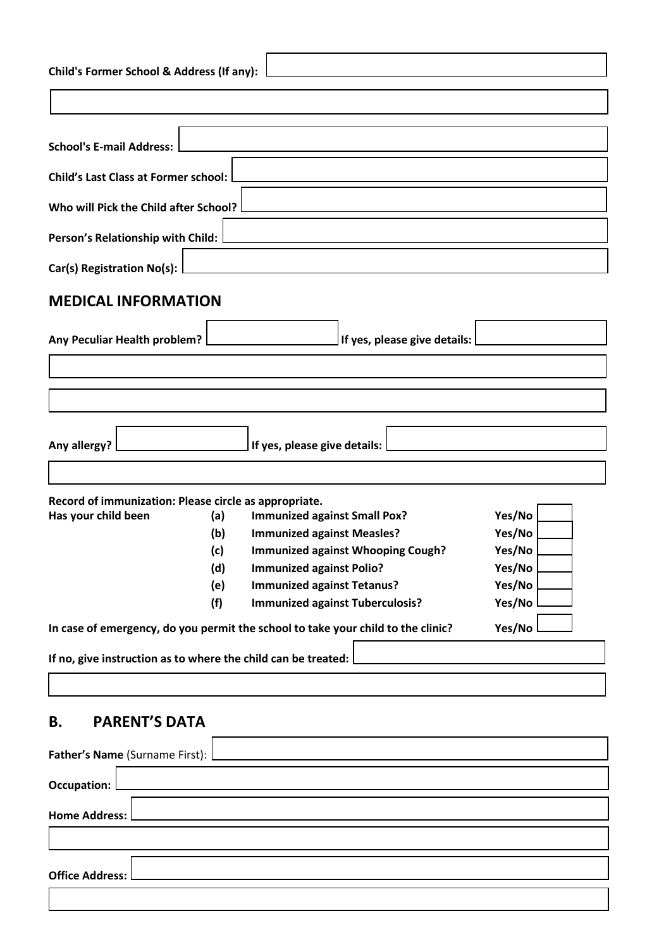| Child's Former School & Address (If any):                     |                                                                                  |        |  |  |  |  |  |
|---------------------------------------------------------------|----------------------------------------------------------------------------------|--------|--|--|--|--|--|
|                                                               |                                                                                  |        |  |  |  |  |  |
| <b>School's E-mail Address:</b>                               |                                                                                  |        |  |  |  |  |  |
| Child's Last Class at Former school:                          |                                                                                  |        |  |  |  |  |  |
| Who will Pick the Child after School?                         |                                                                                  |        |  |  |  |  |  |
| Person's Relationship with Child:                             |                                                                                  |        |  |  |  |  |  |
| Car(s) Registration No(s):                                    |                                                                                  |        |  |  |  |  |  |
| <b>MEDICAL INFORMATION</b>                                    |                                                                                  |        |  |  |  |  |  |
| Any Peculiar Health problem?                                  | If yes, please give details:                                                     |        |  |  |  |  |  |
|                                                               |                                                                                  |        |  |  |  |  |  |
|                                                               |                                                                                  |        |  |  |  |  |  |
| Any allergy?                                                  | If yes, please give details:                                                     |        |  |  |  |  |  |
| Record of immunization: Please circle as appropriate.         |                                                                                  |        |  |  |  |  |  |
| Has your child been<br>(a)                                    | <b>Immunized against Small Pox?</b>                                              | Yes/No |  |  |  |  |  |
| (b)                                                           | <b>Immunized against Measles?</b>                                                | Yes/No |  |  |  |  |  |
| (c)                                                           | <b>Immunized against Whooping Cough?</b>                                         | Yes/No |  |  |  |  |  |
| (d)                                                           | <b>Immunized against Polio?</b>                                                  | Yes/No |  |  |  |  |  |
| (e)                                                           | <b>Immunized against Tetanus?</b>                                                | Yes/No |  |  |  |  |  |
| (f)                                                           | <b>Immunized against Tuberculosis?</b>                                           | Yes/No |  |  |  |  |  |
|                                                               | In case of emergency, do you permit the school to take your child to the clinic? | Yes/No |  |  |  |  |  |
| If no, give instruction as to where the child can be treated: |                                                                                  |        |  |  |  |  |  |
| <b>PARENT'S DATA</b><br>В.                                    |                                                                                  |        |  |  |  |  |  |
| Father's Name (Surname First):                                |                                                                                  |        |  |  |  |  |  |

**Occupation:**

**Home Address:**

**Office Address:**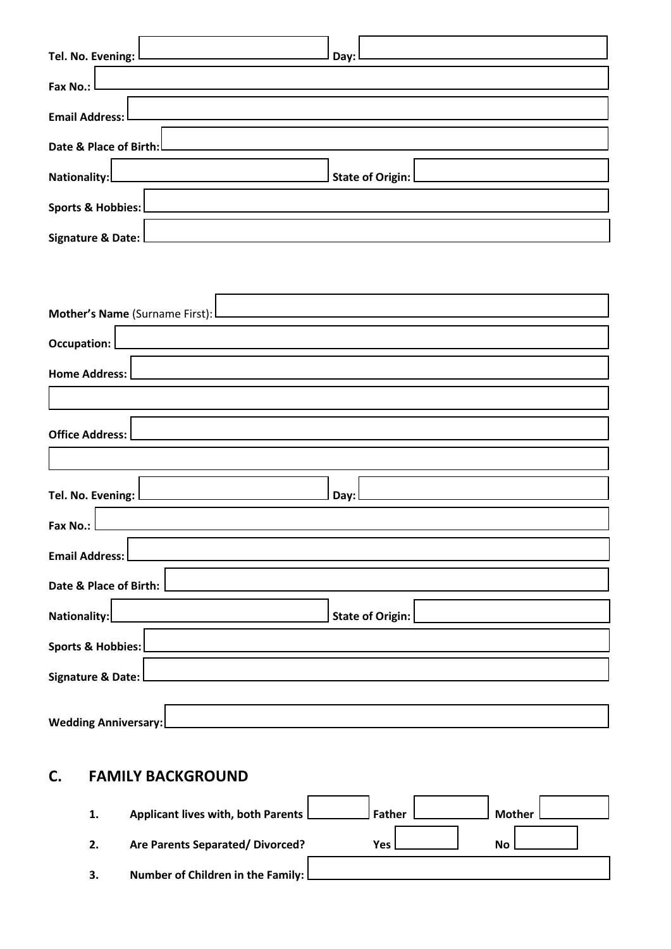| <u> 1980 - Andrea Station Books, amerikansk politik (d. 1980)</u><br>Tel. No. Evening: L | Day:                                          |
|------------------------------------------------------------------------------------------|-----------------------------------------------|
| Fax No.: l                                                                               | <u> 1980 - Andrea Andrew Maria (h. 1980).</u> |
| Email Address: L                                                                         |                                               |
| Date & Place of Birth: <u>Denomination and the Birth</u>                                 |                                               |
| Nationality:                                                                             |                                               |
| Sports & Hobbies:                                                                        | <u> 1980 - Andrea Andrew Maria (h. 1980).</u> |
| Signature & Date:                                                                        |                                               |

| Mother's Name (Surname First): L                                                                                                          |  |  |  |  |
|-------------------------------------------------------------------------------------------------------------------------------------------|--|--|--|--|
| Occupation: [                                                                                                                             |  |  |  |  |
| <b>Home Address:</b>                                                                                                                      |  |  |  |  |
|                                                                                                                                           |  |  |  |  |
| <b>Office Address:</b>                                                                                                                    |  |  |  |  |
|                                                                                                                                           |  |  |  |  |
| Day: L                                                                                                                                    |  |  |  |  |
| Fax No.:<br><u> 1989 - Andrea Santa Andrea Andrea Santa Andrea Andrea Andrea Andrea Andrea Andrea Andrea Andrea Andrea Andre</u>          |  |  |  |  |
| <b>Email Address:</b><br><u> 1989 - Johann Barn, mars et al. (b. 1989)</u>                                                                |  |  |  |  |
| Date & Place of Birth:                                                                                                                    |  |  |  |  |
| State of Origin:<br>Nationality:                                                                                                          |  |  |  |  |
| Sports & Hobbies: 2008 2010 2020 2021 2021 2022 2021 2022 2022 2023 2024 2022 2022 2023 2024 2022 20                                      |  |  |  |  |
| Signature & Date:<br><u> 1989 - Johann Harry Barn, mars ar breist fan de Amerikaansk kommunent fan de Amerikaanske kommunent fan de A</u> |  |  |  |  |
|                                                                                                                                           |  |  |  |  |
| <b>Wedding Anniversary:</b>                                                                                                               |  |  |  |  |

## **C. FAMILY BACKGROUND**

| 1.           | Applicant lives with, both Parents | <b>Father</b> | <b>Mother</b> |  |
|--------------|------------------------------------|---------------|---------------|--|
| $\mathbf{2}$ | Are Parents Separated/Divorced?    | <b>Yes</b>    | <b>No</b>     |  |
| 3.           | Number of Children in the Family:  |               |               |  |